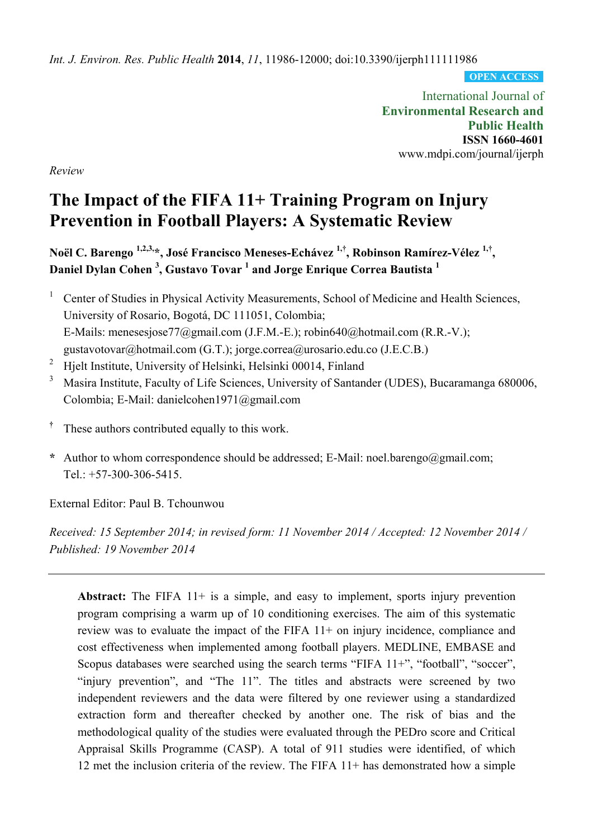*Int. J. Environ. Res. Public Health* **2014**, *11*, 11986-12000; doi:10.3390/ijerph111111986

**OPEN ACCESS**

International Journal of **Environmental Research and Public Health ISSN 1660-4601**  www.mdpi.com/journal/ijerph

*Review* 

# **The Impact of the FIFA 11+ Training Program on Injury Prevention in Football Players: A Systematic Review**

**Noël C. Barengo 1,2,3,\*, José Francisco Meneses-Echávez 1,†, Robinson Ramírez-Vélez 1,†, Daniel Dylan Cohen <sup>3</sup> , Gustavo Tovar <sup>1</sup> and Jorge Enrique Correa Bautista <sup>1</sup>**

<sup>1</sup> Center of Studies in Physical Activity Measurements, School of Medicine and Health Sciences, University of Rosario, Bogotá, DC 111051, Colombia; E-Mails: menesesjose77@gmail.com (J.F.M.-E.); robin640@hotmail.com (R.R.-V.); gustavotovar@hotmail.com (G.T.); jorge.correa@urosario.edu.co (J.E.C.B.)

- <sup>2</sup> Hielt Institute, University of Helsinki, Helsinki 00014, Finland
- 3 Masira Institute, Faculty of Life Sciences, University of Santander (UDES), Bucaramanga 680006, Colombia; E-Mail: danielcohen1971@gmail.com
- **†** These authors contributed equally to this work.
- \* Author to whom correspondence should be addressed; E-Mail: noel.barengo@gmail.com; Tel.:  $+57-300-306-5415$ .

External Editor: Paul B. Tchounwou

*Received: 15 September 2014; in revised form: 11 November 2014 / Accepted: 12 November 2014 / Published: 19 November 2014* 

**Abstract:** The FIFA 11+ is a simple, and easy to implement, sports injury prevention program comprising a warm up of 10 conditioning exercises. The aim of this systematic review was to evaluate the impact of the FIFA 11+ on injury incidence, compliance and cost effectiveness when implemented among football players. MEDLINE, EMBASE and Scopus databases were searched using the search terms "FIFA 11+", "football", "soccer", "injury prevention", and "The 11". The titles and abstracts were screened by two independent reviewers and the data were filtered by one reviewer using a standardized extraction form and thereafter checked by another one. The risk of bias and the methodological quality of the studies were evaluated through the PEDro score and Critical Appraisal Skills Programme (CASP). A total of 911 studies were identified, of which 12 met the inclusion criteria of the review. The FIFA 11+ has demonstrated how a simple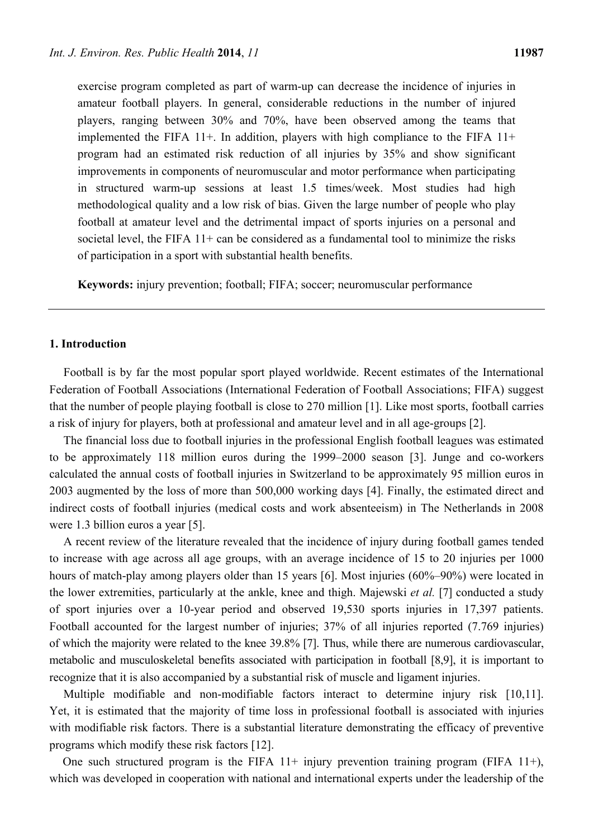exercise program completed as part of warm-up can decrease the incidence of injuries in amateur football players. In general, considerable reductions in the number of injured players, ranging between 30% and 70%, have been observed among the teams that implemented the FIFA 11+. In addition, players with high compliance to the FIFA 11+ program had an estimated risk reduction of all injuries by 35% and show significant improvements in components of neuromuscular and motor performance when participating in structured warm-up sessions at least 1.5 times/week. Most studies had high methodological quality and a low risk of bias. Given the large number of people who play football at amateur level and the detrimental impact of sports injuries on a personal and societal level, the FIFA 11+ can be considered as a fundamental tool to minimize the risks of participation in a sport with substantial health benefits.

**Keywords:** injury prevention; football; FIFA; soccer; neuromuscular performance

## **1. Introduction**

Football is by far the most popular sport played worldwide. Recent estimates of the International Federation of Football Associations (International Federation of Football Associations; FIFA) suggest that the number of people playing football is close to 270 million [1]. Like most sports, football carries a risk of injury for players, both at professional and amateur level and in all age-groups [2].

The financial loss due to football injuries in the professional English football leagues was estimated to be approximately 118 million euros during the 1999–2000 season [3]. Junge and co-workers calculated the annual costs of football injuries in Switzerland to be approximately 95 million euros in 2003 augmented by the loss of more than 500,000 working days [4]. Finally, the estimated direct and indirect costs of football injuries (medical costs and work absenteeism) in The Netherlands in 2008 were 1.3 billion euros a year [5].

A recent review of the literature revealed that the incidence of injury during football games tended to increase with age across all age groups, with an average incidence of 15 to 20 injuries per 1000 hours of match-play among players older than 15 years [6]. Most injuries (60%–90%) were located in the lower extremities, particularly at the ankle, knee and thigh. Majewski *et al.* [7] conducted a study of sport injuries over a 10-year period and observed 19,530 sports injuries in 17,397 patients. Football accounted for the largest number of injuries; 37% of all injuries reported (7.769 injuries) of which the majority were related to the knee 39.8% [7]. Thus, while there are numerous cardiovascular, metabolic and musculoskeletal benefits associated with participation in football [8,9], it is important to recognize that it is also accompanied by a substantial risk of muscle and ligament injuries.

Multiple modifiable and non-modifiable factors interact to determine injury risk [10,11]. Yet, it is estimated that the majority of time loss in professional football is associated with injuries with modifiable risk factors. There is a substantial literature demonstrating the efficacy of preventive programs which modify these risk factors [12].

One such structured program is the FIFA  $11+$  injury prevention training program (FIFA  $11+$ ), which was developed in cooperation with national and international experts under the leadership of the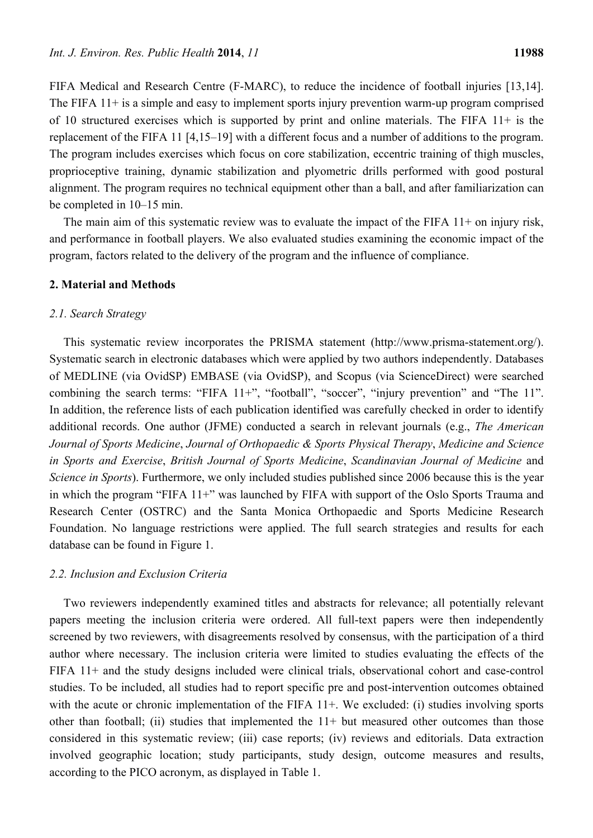FIFA Medical and Research Centre (F-MARC), to reduce the incidence of football injuries [13,14]. The FIFA 11+ is a simple and easy to implement sports injury prevention warm-up program comprised of 10 structured exercises which is supported by print and online materials. The FIFA 11+ is the replacement of the FIFA 11 [4,15–19] with a different focus and a number of additions to the program. The program includes exercises which focus on core stabilization, eccentric training of thigh muscles, proprioceptive training, dynamic stabilization and plyometric drills performed with good postural alignment. The program requires no technical equipment other than a ball, and after familiarization can be completed in 10–15 min.

The main aim of this systematic review was to evaluate the impact of the FIFA 11+ on injury risk, and performance in football players. We also evaluated studies examining the economic impact of the program, factors related to the delivery of the program and the influence of compliance.

#### **2. Material and Methods**

### *2.1. Search Strategy*

This systematic review incorporates the PRISMA statement (http://www.prisma-statement.org/). Systematic search in electronic databases which were applied by two authors independently. Databases of MEDLINE (via OvidSP) EMBASE (via OvidSP), and Scopus (via ScienceDirect) were searched combining the search terms: "FIFA 11+", "football", "soccer", "injury prevention" and "The 11". In addition, the reference lists of each publication identified was carefully checked in order to identify additional records. One author (JFME) conducted a search in relevant journals (e.g., *The American Journal of Sports Medicine*, *Journal of Orthopaedic & Sports Physical Therapy*, *Medicine and Science in Sports and Exercise*, *British Journal of Sports Medicine*, *Scandinavian Journal of Medicine* and *Science in Sports*). Furthermore, we only included studies published since 2006 because this is the year in which the program "FIFA 11+" was launched by FIFA with support of the Oslo Sports Trauma and Research Center (OSTRC) and the Santa Monica Orthopaedic and Sports Medicine Research Foundation. No language restrictions were applied. The full search strategies and results for each database can be found in Figure 1.

## *2.2. Inclusion and Exclusion Criteria*

Two reviewers independently examined titles and abstracts for relevance; all potentially relevant papers meeting the inclusion criteria were ordered. All full-text papers were then independently screened by two reviewers, with disagreements resolved by consensus, with the participation of a third author where necessary. The inclusion criteria were limited to studies evaluating the effects of the FIFA 11+ and the study designs included were clinical trials, observational cohort and case-control studies. To be included, all studies had to report specific pre and post-intervention outcomes obtained with the acute or chronic implementation of the FIFA 11+. We excluded: (i) studies involving sports other than football; (ii) studies that implemented the 11+ but measured other outcomes than those considered in this systematic review; (iii) case reports; (iv) reviews and editorials. Data extraction involved geographic location; study participants, study design, outcome measures and results, according to the PICO acronym, as displayed in Table 1.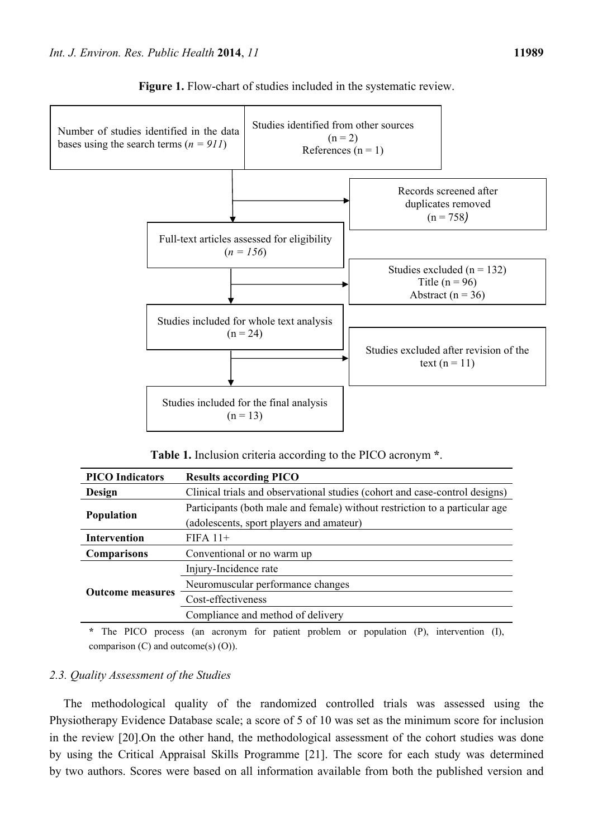

Figure 1. Flow-chart of studies included in the systematic review.

**Table 1.** Inclusion criteria according to the PICO acronym **\***.

| <b>PICO</b> Indicators  | <b>Results according PICO</b>                                               |  |  |  |
|-------------------------|-----------------------------------------------------------------------------|--|--|--|
| Design                  | Clinical trials and observational studies (cohort and case-control designs) |  |  |  |
|                         | Participants (both male and female) without restriction to a particular age |  |  |  |
| <b>Population</b>       | (adolescents, sport players and amateur)                                    |  |  |  |
| <b>Intervention</b>     | $FIFA 11+$                                                                  |  |  |  |
| <b>Comparisons</b>      | Conventional or no warm up                                                  |  |  |  |
| <b>Outcome measures</b> | Injury-Incidence rate                                                       |  |  |  |
|                         | Neuromuscular performance changes                                           |  |  |  |
|                         | Cost-effectiveness                                                          |  |  |  |
|                         | Compliance and method of delivery                                           |  |  |  |
|                         |                                                                             |  |  |  |

**\*** The PICO process (an acronym for patient problem or population (P), intervention (I), comparison (C) and outcome(s) (O)).

# *2.3. Quality Assessment of the Studies*

The methodological quality of the randomized controlled trials was assessed using the Physiotherapy Evidence Database scale; a score of 5 of 10 was set as the minimum score for inclusion in the review [20].On the other hand, the methodological assessment of the cohort studies was done by using the Critical Appraisal Skills Programme [21]. The score for each study was determined by two authors. Scores were based on all information available from both the published version and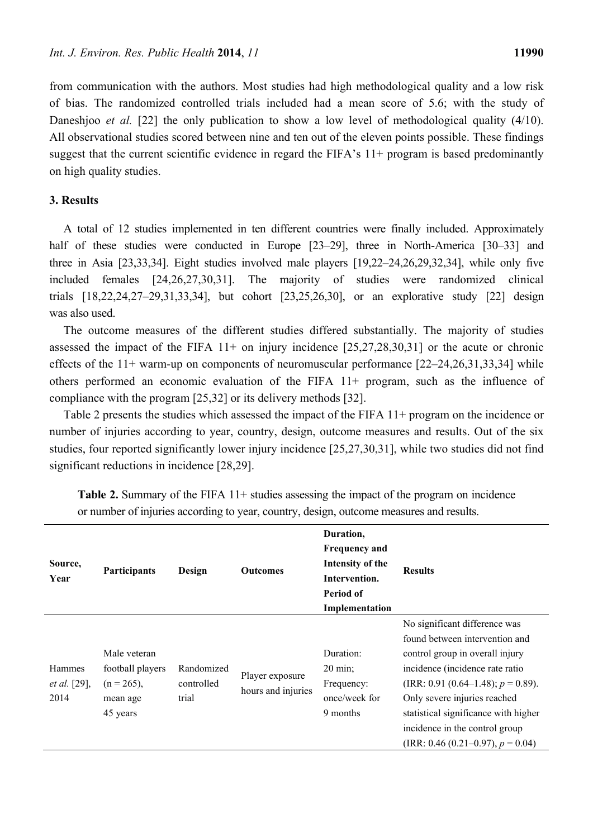from communication with the authors. Most studies had high methodological quality and a low risk of bias. The randomized controlled trials included had a mean score of 5.6; with the study of Daneshjoo *et al.* [22] the only publication to show a low level of methodological quality (4/10). All observational studies scored between nine and ten out of the eleven points possible. These findings suggest that the current scientific evidence in regard the FIFA's 11+ program is based predominantly on high quality studies.

## **3. Results**

A total of 12 studies implemented in ten different countries were finally included. Approximately half of these studies were conducted in Europe [23–29], three in North-America [30–33] and three in Asia [23,33,34]. Eight studies involved male players [19,22–24,26,29,32,34], while only five included females [24,26,27,30,31]. The majority of studies were randomized clinical trials [18,22,24,27–29,31,33,34], but cohort [23,25,26,30], or an explorative study [22] design was also used.

The outcome measures of the different studies differed substantially. The majority of studies assessed the impact of the FIFA 11+ on injury incidence [25,27,28,30,31] or the acute or chronic effects of the 11+ warm-up on components of neuromuscular performance [22–24,26,31,33,34] while others performed an economic evaluation of the FIFA 11+ program, such as the influence of compliance with the program [25,32] or its delivery methods [32].

Table 2 presents the studies which assessed the impact of the FIFA 11+ program on the incidence or number of injuries according to year, country, design, outcome measures and results. Out of the six studies, four reported significantly lower injury incidence [25,27,30,31], while two studies did not find significant reductions in incidence [28,29].

| Source,<br>Year                              | <b>Participants</b>                                                       | Design                            | <b>Outcomes</b>                       | Duration,<br><b>Frequency and</b><br>Intensity of the<br>Intervention.<br>Period of<br>Implementation | <b>Results</b>                                                                                                                                                                                                                                                                                                                  |
|----------------------------------------------|---------------------------------------------------------------------------|-----------------------------------|---------------------------------------|-------------------------------------------------------------------------------------------------------|---------------------------------------------------------------------------------------------------------------------------------------------------------------------------------------------------------------------------------------------------------------------------------------------------------------------------------|
| <b>Hammes</b><br><i>et al.</i> [29],<br>2014 | Male veteran<br>football players<br>$(n = 265)$ ,<br>mean age<br>45 years | Randomized<br>controlled<br>trial | Player exposure<br>hours and injuries | Duration:<br>$20 \text{ min}$ ;<br>Frequency:<br>once/week for<br>9 months                            | No significant difference was<br>found between intervention and<br>control group in overall injury<br>incidence (incidence rate ratio<br>(IRR: 0.91 (0.64–1.48); $p = 0.89$ ).<br>Only severe injuries reached<br>statistical significance with higher<br>incidence in the control group<br>$(IRR: 0.46 (0.21–0.97), p = 0.04)$ |

**Table 2.** Summary of the FIFA 11+ studies assessing the impact of the program on incidence or number of injuries according to year, country, design, outcome measures and results.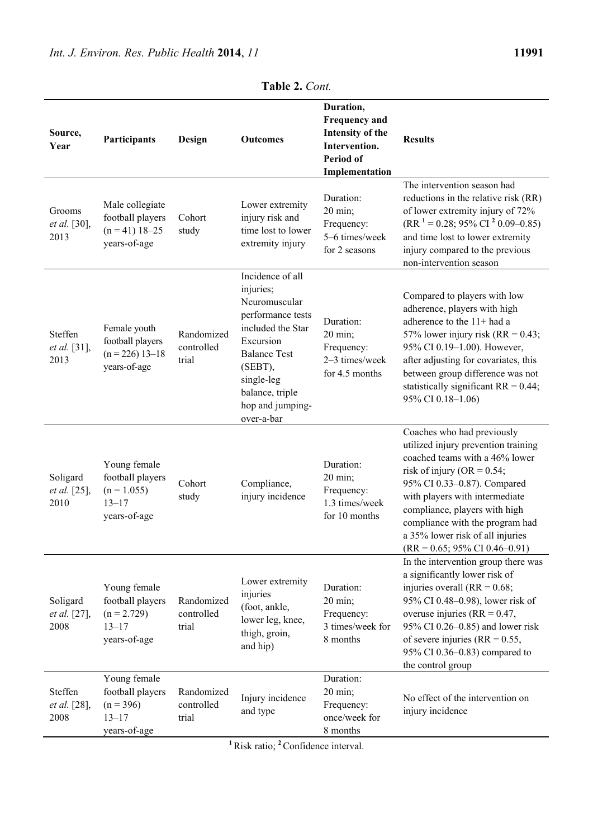|                                         | Duration,                                                                      |                                   |                                                                                                                                                                                                            |                                                                                                        |                                                                                                                                                                                                                                                                                                                                                              |  |
|-----------------------------------------|--------------------------------------------------------------------------------|-----------------------------------|------------------------------------------------------------------------------------------------------------------------------------------------------------------------------------------------------------|--------------------------------------------------------------------------------------------------------|--------------------------------------------------------------------------------------------------------------------------------------------------------------------------------------------------------------------------------------------------------------------------------------------------------------------------------------------------------------|--|
| Source,<br>Year                         | Participants                                                                   | Design                            | Outcomes                                                                                                                                                                                                   | <b>Frequency and</b><br><b>Intensity of the</b><br>Intervention.<br><b>Period of</b><br>Implementation | <b>Results</b>                                                                                                                                                                                                                                                                                                                                               |  |
| Grooms<br>et al. [30],<br>2013          | Male collegiate<br>football players<br>$(n = 41) 18 - 25$<br>years-of-age      | Cohort<br>study                   | Lower extremity<br>injury risk and<br>time lost to lower<br>extremity injury                                                                                                                               | Duration:<br>20 min;<br>Frequency:<br>5-6 times/week<br>for 2 seasons                                  | The intervention season had<br>reductions in the relative risk (RR)<br>of lower extremity injury of 72%<br>$(RR1 = 0.28; 95\% CI2 0.09-0.85)$<br>and time lost to lower extremity<br>injury compared to the previous<br>non-intervention season                                                                                                              |  |
| Steffen<br>et al. [31],<br>2013         | Female youth<br>football players<br>$(n = 226)$ 13-18<br>years-of-age          | Randomized<br>controlled<br>trial | Incidence of all<br>injuries;<br>Neuromuscular<br>performance tests<br>included the Star<br>Excursion<br><b>Balance Test</b><br>(SEBT),<br>single-leg<br>balance, triple<br>hop and jumping-<br>over-a-bar | Duration:<br>20 min;<br>Frequency:<br>2-3 times/week<br>for 4.5 months                                 | Compared to players with low<br>adherence, players with high<br>adherence to the 11+ had a<br>57% lower injury risk (RR = $0.43$ ;<br>95% CI 0.19-1.00). However,<br>after adjusting for covariates, this<br>between group difference was not<br>statistically significant $RR = 0.44$ ;<br>95% CI 0.18-1.06)                                                |  |
| Soligard<br>et al. [25],<br>2010        | Young female<br>football players<br>$(n = 1.055)$<br>$13 - 17$<br>years-of-age | Cohort<br>study                   | Compliance,<br>injury incidence                                                                                                                                                                            | Duration:<br>20 min;<br>Frequency:<br>1.3 times/week<br>for 10 months                                  | Coaches who had previously<br>utilized injury prevention training<br>coached teams with a 46% lower<br>risk of injury (OR = $0.54$ ;<br>95% CI 0.33-0.87). Compared<br>with players with intermediate<br>compliance, players with high<br>compliance with the program had<br>a 35% lower risk of all injuries<br>$(RR = 0.65; 95\% \text{ CI } 0.46 - 0.91)$ |  |
| Soligard<br><i>et al.</i> [27],<br>2008 | Young female<br>football players<br>$(n = 2.729)$<br>$13 - 17$<br>years-of-age | Randomized<br>controlled<br>trial | Lower extremity<br>injuries<br>(foot, ankle,<br>lower leg, knee,<br>thigh, groin,<br>and hip)                                                                                                              | Duration:<br>20 min;<br>Frequency:<br>3 times/week for<br>8 months                                     | In the intervention group there was<br>a significantly lower risk of<br>injuries overall ( $RR = 0.68$ ;<br>95% CI 0.48-0.98), lower risk of<br>overuse injuries ( $RR = 0.47$ ,<br>95% CI 0.26–0.85) and lower risk<br>of severe injuries ( $RR = 0.55$ ,<br>95% CI 0.36–0.83) compared to<br>the control group                                             |  |
| Steffen<br>et al. [28],<br>2008         | Young female<br>football players<br>$(n = 396)$<br>$13 - 17$<br>years-of-age   | Randomized<br>controlled<br>trial | Injury incidence<br>and type                                                                                                                                                                               | Duration:<br>20 min;<br>Frequency:<br>once/week for<br>8 months                                        | No effect of the intervention on<br>injury incidence                                                                                                                                                                                                                                                                                                         |  |

**Table 2.** *Cont.*

**<sup>1</sup>**Risk ratio; **<sup>2</sup>**Confidence interval.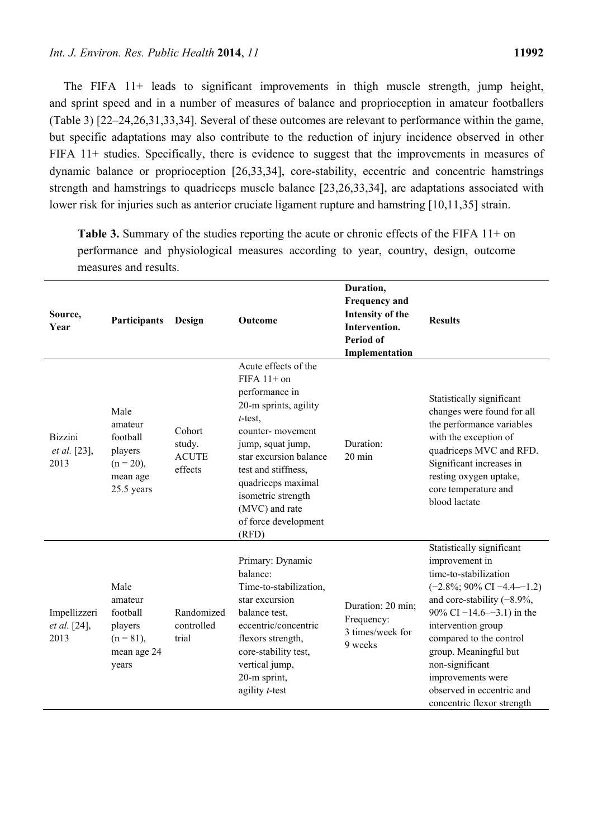The FIFA 11+ leads to significant improvements in thigh muscle strength, jump height, and sprint speed and in a number of measures of balance and proprioception in amateur footballers (Table 3) [22–24,26,31,33,34]. Several of these outcomes are relevant to performance within the game, but specific adaptations may also contribute to the reduction of injury incidence observed in other FIFA 11+ studies. Specifically, there is evidence to suggest that the improvements in measures of dynamic balance or proprioception [26,33,34], core-stability, eccentric and concentric hamstrings strength and hamstrings to quadriceps muscle balance [23,26,33,34], are adaptations associated with lower risk for injuries such as anterior cruciate ligament rupture and hamstring [10,11,35] strain.

| Source,<br>Year                               | Participants                                                                     | Design                                      | <b>Outcome</b>                                                                                                                                                                                                                                                                          | Duration,<br><b>Frequency and</b><br><b>Intensity of the</b><br>Intervention.<br><b>Period of</b><br>Implementation | <b>Results</b>                                                                                                                                                                                                                                                                                                                                                 |
|-----------------------------------------------|----------------------------------------------------------------------------------|---------------------------------------------|-----------------------------------------------------------------------------------------------------------------------------------------------------------------------------------------------------------------------------------------------------------------------------------------|---------------------------------------------------------------------------------------------------------------------|----------------------------------------------------------------------------------------------------------------------------------------------------------------------------------------------------------------------------------------------------------------------------------------------------------------------------------------------------------------|
| <b>Bizzini</b><br><i>et al.</i> [23],<br>2013 | Male<br>amateur<br>football<br>players<br>$(n = 20)$ ,<br>mean age<br>25.5 years | Cohort<br>study.<br><b>ACUTE</b><br>effects | Acute effects of the<br>FIFA $11+$ on<br>performance in<br>20-m sprints, agility<br>$t$ -test,<br>counter-movement<br>jump, squat jump,<br>star excursion balance<br>test and stiffness,<br>quadriceps maximal<br>isometric strength<br>(MVC) and rate<br>of force development<br>(RFD) | Duration:<br>$20 \text{ min}$                                                                                       | Statistically significant<br>changes were found for all<br>the performance variables<br>with the exception of<br>quadriceps MVC and RFD.<br>Significant increases in<br>resting oxygen uptake,<br>core temperature and<br>blood lactate                                                                                                                        |
| Impellizzeri<br>et al. [24],<br>2013          | Male<br>amateur<br>football<br>players<br>$(n = 81)$ ,<br>mean age 24<br>years   | Randomized<br>controlled<br>trial           | Primary: Dynamic<br>balance:<br>Time-to-stabilization,<br>star excursion<br>balance test,<br>eccentric/concentric<br>flexors strength,<br>core-stability test,<br>vertical jump,<br>20-m sprint,<br>agility $t$ -test                                                                   | Duration: 20 min;<br>Frequency:<br>3 times/week for<br>9 weeks                                                      | Statistically significant<br>improvement in<br>time-to-stabilization<br>$(-2.8\%; 90\% \text{ CI} -4.4 -1.2)$<br>and core-stability $(-8.9\%$ ,<br>90% CI $-14.6 - -3.1$ ) in the<br>intervention group<br>compared to the control<br>group. Meaningful but<br>non-significant<br>improvements were<br>observed in eccentric and<br>concentric flexor strength |

**Table 3.** Summary of the studies reporting the acute or chronic effects of the FIFA 11+ on performance and physiological measures according to year, country, design, outcome measures and results.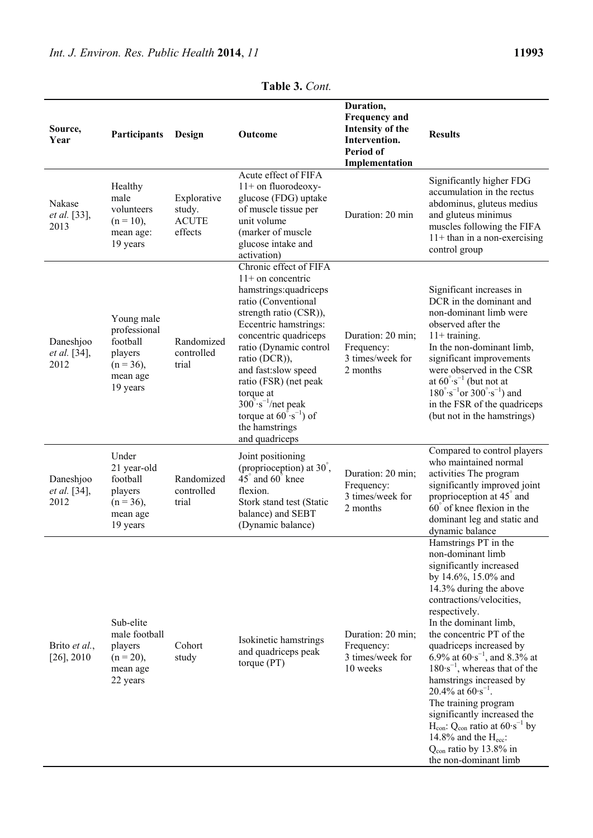| Source,<br>Year                          | Participants                                                                              | Design                                           | Outcome                                                                                                                                                                                                                                                                                                                                                                                                   | Duration,<br><b>Frequency and</b><br><b>Intensity of the</b><br>Intervention.<br>Period of<br>Implementation | <b>Results</b>                                                                                                                                                                                                                                                                                                                                                                                                                                                                                                                                                                                                        |
|------------------------------------------|-------------------------------------------------------------------------------------------|--------------------------------------------------|-----------------------------------------------------------------------------------------------------------------------------------------------------------------------------------------------------------------------------------------------------------------------------------------------------------------------------------------------------------------------------------------------------------|--------------------------------------------------------------------------------------------------------------|-----------------------------------------------------------------------------------------------------------------------------------------------------------------------------------------------------------------------------------------------------------------------------------------------------------------------------------------------------------------------------------------------------------------------------------------------------------------------------------------------------------------------------------------------------------------------------------------------------------------------|
| Nakase<br>et al. [33],<br>2013           | Healthy<br>male<br>volunteers<br>$(n = 10)$ ,<br>mean age:<br>19 years                    | Explorative<br>study.<br><b>ACUTE</b><br>effects | Acute effect of FIFA<br>$11+$ on fluorodeoxy-<br>glucose (FDG) uptake<br>of muscle tissue per<br>unit volume<br>(marker of muscle<br>glucose intake and<br>activation)                                                                                                                                                                                                                                    | Duration: 20 min                                                                                             | Significantly higher FDG<br>accumulation in the rectus<br>abdominus, gluteus medius<br>and gluteus minimus<br>muscles following the FIFA<br>$11+$ than in a non-exercising<br>control group                                                                                                                                                                                                                                                                                                                                                                                                                           |
| Daneshjoo<br><i>et al.</i> [34],<br>2012 | Young male<br>professional<br>football<br>players<br>$(n = 36)$ ,<br>mean age<br>19 years | Randomized<br>controlled<br>trial                | Chronic effect of FIFA<br>$11+$ on concentric<br>hamstrings:quadriceps<br>ratio (Conventional<br>strength ratio (CSR)),<br>Eccentric hamstrings:<br>concentric quadriceps<br>ratio (Dynamic control<br>ratio (DCR)),<br>and fast:slow speed<br>ratio (FSR) (net peak<br>torque at<br>$300^\circ \text{·s}^{-1}$ /net peak<br>torque at $60^{\circ} \cdot s^{-1}$ ) of<br>the hamstrings<br>and quadriceps | Duration: 20 min;<br>Frequency:<br>3 times/week for<br>2 months                                              | Significant increases in<br>DCR in the dominant and<br>non-dominant limb were<br>observed after the<br>$11+$ training.<br>In the non-dominant limb,<br>significant improvements<br>were observed in the CSR<br>at $60^{\circ} \cdot s^{-1}$ (but not at<br>180° $\cdot s^{-1}$ or 300° $\cdot s^{-1}$ ) and<br>in the FSR of the quadriceps<br>(but not in the hamstrings)                                                                                                                                                                                                                                            |
| Daneshjoo<br>et al. [34],<br>2012        | Under<br>21 year-old<br>football<br>players<br>$(n = 36)$ ,<br>mean age<br>19 years       | Randomized<br>controlled<br>trial                | Joint positioning<br>(proprioception) at 30°,<br>45° and 60° knee<br>flexion.<br>Stork stand test (Static<br>balance) and SEBT<br>(Dynamic balance)                                                                                                                                                                                                                                                       | Duration: 20 min;<br>Frequency:<br>3 times/week for<br>2 months                                              | Compared to control players<br>who maintained normal<br>activities The program<br>significantly improved joint<br>proprioception at 45° and<br>60° of knee flexion in the<br>dominant leg and static and<br>dynamic balance                                                                                                                                                                                                                                                                                                                                                                                           |
| Brito et al.,<br>$[26]$ , 2010           | Sub-elite<br>male football<br>players<br>$(n = 20)$ ,<br>mean age<br>22 years             | Cohort<br>study                                  | Isokinetic hamstrings<br>and quadriceps peak<br>torque (PT)                                                                                                                                                                                                                                                                                                                                               | Duration: 20 min;<br>Frequency:<br>3 times/week for<br>10 weeks                                              | Hamstrings PT in the<br>non-dominant limb<br>significantly increased<br>by 14.6%, 15.0% and<br>14.3% during the above<br>contractions/velocities,<br>respectively.<br>In the dominant limb,<br>the concentric PT of the<br>quadriceps increased by<br>6.9% at $60 \cdot s^{-1}$ , and 8.3% at<br>$180 \cdot s^{-1}$ , whereas that of the<br>hamstrings increased by<br>20.4% at $60 \cdot s^{-1}$ .<br>The training program<br>significantly increased the<br>$H_{con}$ : Q <sub>con</sub> ratio at $60 \cdot s^{-1}$ by<br>14.8% and the $H_{\text{ecc}}$ :<br>$Q_{con}$ ratio by 13.8% in<br>the non-dominant limb |

**Table 3.** *Cont.*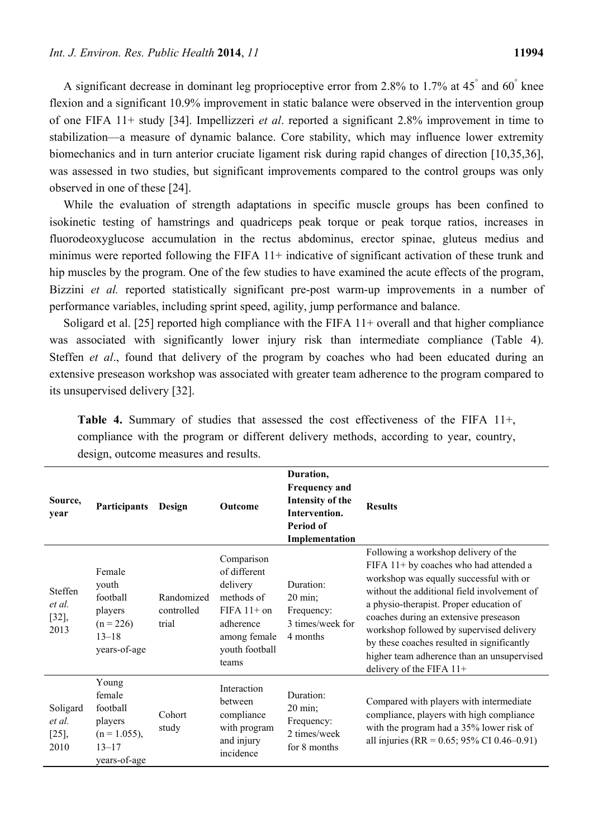A significant decrease in dominant leg proprioceptive error from 2.8% to 1.7% at 45° and 60° knee flexion and a significant 10.9% improvement in static balance were observed in the intervention group of one FIFA 11+ study [34]. Impellizzeri *et al*. reported a significant 2.8% improvement in time to stabilization—a measure of dynamic balance. Core stability, which may influence lower extremity biomechanics and in turn anterior cruciate ligament risk during rapid changes of direction [10,35,36], was assessed in two studies, but significant improvements compared to the control groups was only observed in one of these [24].

While the evaluation of strength adaptations in specific muscle groups has been confined to isokinetic testing of hamstrings and quadriceps peak torque or peak torque ratios, increases in fluorodeoxyglucose accumulation in the rectus abdominus, erector spinae, gluteus medius and minimus were reported following the FIFA 11+ indicative of significant activation of these trunk and hip muscles by the program. One of the few studies to have examined the acute effects of the program, Bizzini *et al.* reported statistically significant pre-post warm-up improvements in a number of performance variables, including sprint speed, agility, jump performance and balance.

Soligard et al. [25] reported high compliance with the FIFA 11+ overall and that higher compliance was associated with significantly lower injury risk than intermediate compliance (Table 4). Steffen *et al*., found that delivery of the program by coaches who had been educated during an extensive preseason workshop was associated with greater team adherence to the program compared to its unsupervised delivery [32].

| Source,<br>year                      | <b>Participants</b>                                                                    | Design                            | Outcome                                                                                                                       | Duration,<br><b>Frequency and</b><br><b>Intensity of the</b><br>Intervention.<br>Period of<br>Implementation | <b>Results</b>                                                                                                                                                                                                                                                                                                                                                                                                                     |
|--------------------------------------|----------------------------------------------------------------------------------------|-----------------------------------|-------------------------------------------------------------------------------------------------------------------------------|--------------------------------------------------------------------------------------------------------------|------------------------------------------------------------------------------------------------------------------------------------------------------------------------------------------------------------------------------------------------------------------------------------------------------------------------------------------------------------------------------------------------------------------------------------|
| Steffen<br>et al.<br>$[32]$<br>2013  | Female<br>youth<br>football<br>players<br>$(n = 226)$<br>$13 - 18$<br>years-of-age     | Randomized<br>controlled<br>trial | Comparison<br>of different<br>delivery<br>methods of<br>$FIFA 11+ on$<br>adherence<br>among female<br>youth football<br>teams | Duration:<br>$20 \text{ min}$ ;<br>Frequency:<br>3 times/week for<br>4 months                                | Following a workshop delivery of the<br>FIFA 11+ by coaches who had attended a<br>workshop was equally successful with or<br>without the additional field involvement of<br>a physio-therapist. Proper education of<br>coaches during an extensive preseason<br>workshop followed by supervised delivery<br>by these coaches resulted in significantly<br>higher team adherence than an unsupervised<br>delivery of the FIFA $11+$ |
| Soligard<br>et al.<br>$[25]$<br>2010 | Young<br>female<br>football<br>players<br>$(n = 1.055)$ ,<br>$13 - 17$<br>years-of-age | Cohort<br>study                   | Interaction<br>between<br>compliance<br>with program<br>and injury<br>incidence                                               | Duration:<br>20 min;<br>Frequency:<br>2 times/week<br>for 8 months                                           | Compared with players with intermediate<br>compliance, players with high compliance<br>with the program had a 35% lower risk of<br>all injuries (RR = $0.65$ ; 95% CI 0.46–0.91)                                                                                                                                                                                                                                                   |

**Table 4.** Summary of studies that assessed the cost effectiveness of the FIFA 11+, compliance with the program or different delivery methods, according to year, country, design, outcome measures and results.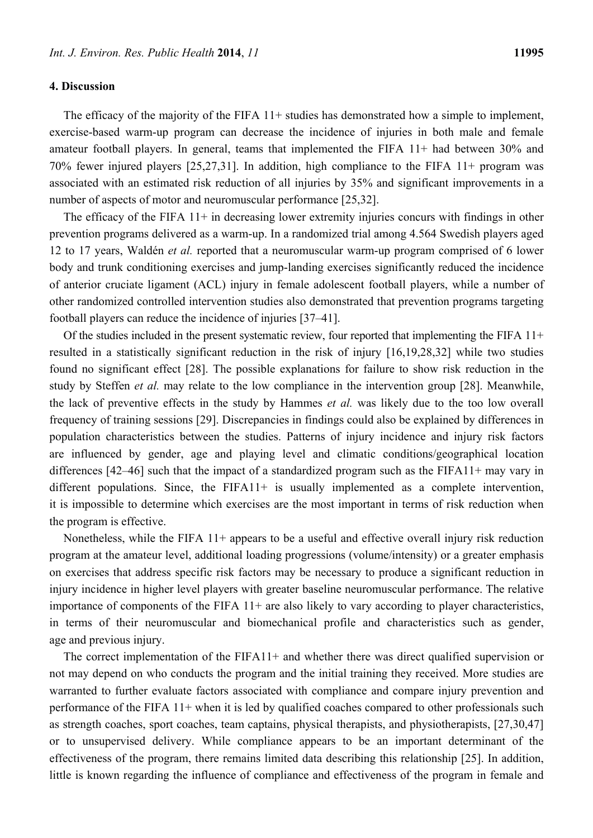## **4. Discussion**

The efficacy of the majority of the FIFA 11+ studies has demonstrated how a simple to implement, exercise-based warm-up program can decrease the incidence of injuries in both male and female amateur football players. In general, teams that implemented the FIFA 11+ had between 30% and 70% fewer injured players [25,27,31]. In addition, high compliance to the FIFA 11+ program was associated with an estimated risk reduction of all injuries by 35% and significant improvements in a number of aspects of motor and neuromuscular performance [25,32].

The efficacy of the FIFA 11+ in decreasing lower extremity injuries concurs with findings in other prevention programs delivered as a warm-up. In a randomized trial among 4.564 Swedish players aged 12 to 17 years, Waldén *et al.* reported that a neuromuscular warm-up program comprised of 6 lower body and trunk conditioning exercises and jump-landing exercises significantly reduced the incidence of anterior cruciate ligament (ACL) injury in female adolescent football players, while a number of other randomized controlled intervention studies also demonstrated that prevention programs targeting football players can reduce the incidence of injuries [37–41].

Of the studies included in the present systematic review, four reported that implementing the FIFA 11+ resulted in a statistically significant reduction in the risk of injury [16,19,28,32] while two studies found no significant effect [28]. The possible explanations for failure to show risk reduction in the study by Steffen *et al.* may relate to the low compliance in the intervention group [28]. Meanwhile, the lack of preventive effects in the study by Hammes *et al.* was likely due to the too low overall frequency of training sessions [29]. Discrepancies in findings could also be explained by differences in population characteristics between the studies. Patterns of injury incidence and injury risk factors are influenced by gender, age and playing level and climatic conditions/geographical location differences [42–46] such that the impact of a standardized program such as the FIFA11+ may vary in different populations. Since, the FIFA11+ is usually implemented as a complete intervention, it is impossible to determine which exercises are the most important in terms of risk reduction when the program is effective.

Nonetheless, while the FIFA 11+ appears to be a useful and effective overall injury risk reduction program at the amateur level, additional loading progressions (volume/intensity) or a greater emphasis on exercises that address specific risk factors may be necessary to produce a significant reduction in injury incidence in higher level players with greater baseline neuromuscular performance. The relative importance of components of the FIFA 11+ are also likely to vary according to player characteristics, in terms of their neuromuscular and biomechanical profile and characteristics such as gender, age and previous injury.

The correct implementation of the FIFA11+ and whether there was direct qualified supervision or not may depend on who conducts the program and the initial training they received. More studies are warranted to further evaluate factors associated with compliance and compare injury prevention and performance of the FIFA 11+ when it is led by qualified coaches compared to other professionals such as strength coaches, sport coaches, team captains, physical therapists, and physiotherapists, [27,30,47] or to unsupervised delivery. While compliance appears to be an important determinant of the effectiveness of the program, there remains limited data describing this relationship [25]. In addition, little is known regarding the influence of compliance and effectiveness of the program in female and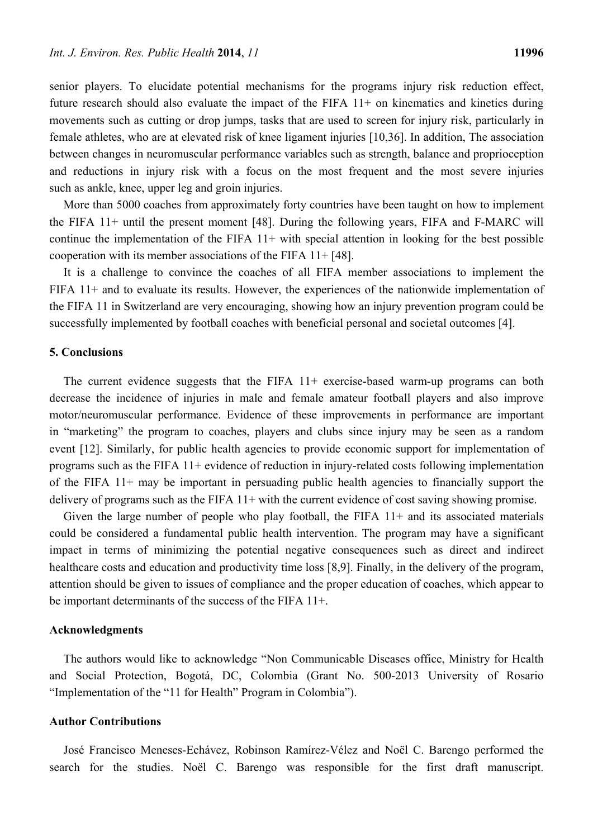senior players. To elucidate potential mechanisms for the programs injury risk reduction effect, future research should also evaluate the impact of the FIFA 11+ on kinematics and kinetics during movements such as cutting or drop jumps, tasks that are used to screen for injury risk, particularly in female athletes, who are at elevated risk of knee ligament injuries [10,36]. In addition, The association between changes in neuromuscular performance variables such as strength, balance and proprioception and reductions in injury risk with a focus on the most frequent and the most severe injuries such as ankle, knee, upper leg and groin injuries.

More than 5000 coaches from approximately forty countries have been taught on how to implement the FIFA 11+ until the present moment [48]. During the following years, FIFA and F-MARC will continue the implementation of the FIFA  $11+$  with special attention in looking for the best possible cooperation with its member associations of the FIFA 11+ [48].

It is a challenge to convince the coaches of all FIFA member associations to implement the FIFA 11+ and to evaluate its results. However, the experiences of the nationwide implementation of the FIFA 11 in Switzerland are very encouraging, showing how an injury prevention program could be successfully implemented by football coaches with beneficial personal and societal outcomes [4].

#### **5. Conclusions**

The current evidence suggests that the FIFA 11+ exercise-based warm-up programs can both decrease the incidence of injuries in male and female amateur football players and also improve motor/neuromuscular performance. Evidence of these improvements in performance are important in "marketing" the program to coaches, players and clubs since injury may be seen as a random event [12]. Similarly, for public health agencies to provide economic support for implementation of programs such as the FIFA 11+ evidence of reduction in injury-related costs following implementation of the FIFA 11+ may be important in persuading public health agencies to financially support the delivery of programs such as the FIFA 11+ with the current evidence of cost saving showing promise.

Given the large number of people who play football, the FIFA  $11+$  and its associated materials could be considered a fundamental public health intervention. The program may have a significant impact in terms of minimizing the potential negative consequences such as direct and indirect healthcare costs and education and productivity time loss [8,9]. Finally, in the delivery of the program, attention should be given to issues of compliance and the proper education of coaches, which appear to be important determinants of the success of the FIFA 11+.

## **Acknowledgments**

The authors would like to acknowledge "Non Communicable Diseases office, Ministry for Health and Social Protection, Bogotá, DC, Colombia (Grant No. 500-2013 University of Rosario "Implementation of the "11 for Health" Program in Colombia").

#### **Author Contributions**

José Francisco Meneses-Echávez, Robinson Ramírez-Vélez and Noël C. Barengo performed the search for the studies. Noël C. Barengo was responsible for the first draft manuscript.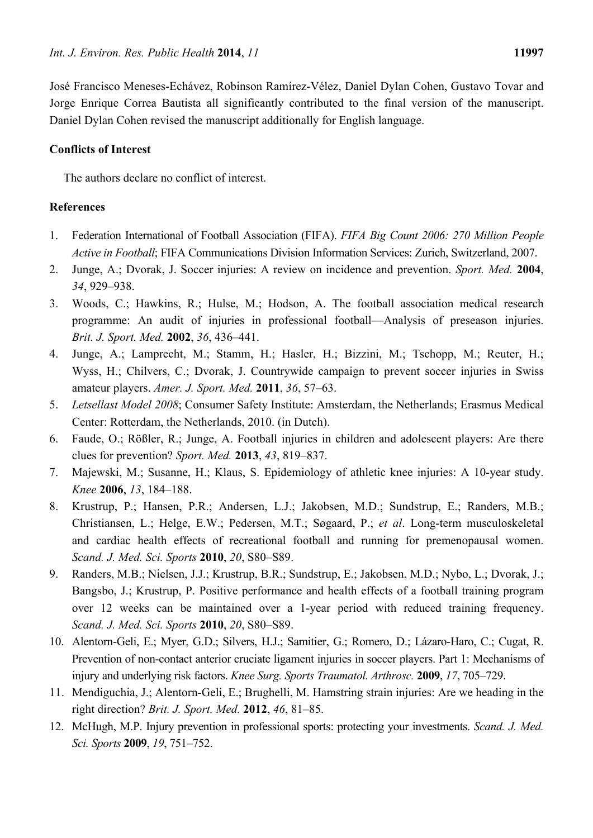José Francisco Meneses-Echávez, Robinson Ramírez-Vélez, Daniel Dylan Cohen, Gustavo Tovar and Jorge Enrique Correa Bautista all significantly contributed to the final version of the manuscript. Daniel Dylan Cohen revised the manuscript additionally for English language.

# **Conflicts of Interest**

The authors declare no conflict of interest.

# **References**

- 1. Federation International of Football Association (FIFA). *FIFA Big Count 2006: 270 Million People Active in Football*; FIFA Communications Division Information Services: Zurich, Switzerland, 2007.
- 2. Junge, A.; Dvorak, J. Soccer injuries: A review on incidence and prevention. *Sport. Med.* **2004**, *34*, 929–938.
- 3. Woods, C.; Hawkins, R.; Hulse, M.; Hodson, A. The football association medical research programme: An audit of injuries in professional football—Analysis of preseason injuries. *Brit. J. Sport. Med.* **2002**, *36*, 436–441.
- 4. Junge, A.; Lamprecht, M.; Stamm, H.; Hasler, H.; Bizzini, M.; Tschopp, M.; Reuter, H.; Wyss, H.; Chilvers, C.; Dvorak, J. Countrywide campaign to prevent soccer injuries in Swiss amateur players. *Amer. J. Sport. Med.* **2011**, *36*, 57–63.
- 5. *Letsellast Model 2008*; Consumer Safety Institute: Amsterdam, the Netherlands; Erasmus Medical Center: Rotterdam, the Netherlands, 2010. (in Dutch).
- 6. Faude, O.; Rößler, R.; Junge, A. Football injuries in children and adolescent players: Are there clues for prevention? *Sport. Med.* **2013**, *43*, 819–837.
- 7. Majewski, M.; Susanne, H.; Klaus, S. Epidemiology of athletic knee injuries: A 10-year study. *Knee* **2006**, *13*, 184–188.
- 8. Krustrup, P.; Hansen, P.R.; Andersen, L.J.; Jakobsen, M.D.; Sundstrup, E.; Randers, M.B.; Christiansen, L.; Helge, E.W.; Pedersen, M.T.; Søgaard, P.; *et al*. Long-term musculoskeletal and cardiac health effects of recreational football and running for premenopausal women. *Scand. J. Med. Sci. Sports* **2010**, *20*, S80–S89.
- 9. Randers, M.B.; Nielsen, J.J.; Krustrup, B.R.; Sundstrup, E.; Jakobsen, M.D.; Nybo, L.; Dvorak, J.; Bangsbo, J.; Krustrup, P. Positive performance and health effects of a football training program over 12 weeks can be maintained over a 1-year period with reduced training frequency. *Scand. J. Med. Sci. Sports* **2010**, *20*, S80–S89.
- 10. Alentorn-Geli, E.; Myer, G.D.; Silvers, H.J.; Samitier, G.; Romero, D.; Lázaro-Haro, C.; Cugat, R. Prevention of non-contact anterior cruciate ligament injuries in soccer players. Part 1: Mechanisms of injury and underlying risk factors. *Knee Surg. Sports Traumatol. Arthrosc.* **2009**, *17*, 705–729.
- 11. Mendiguchia, J.; Alentorn-Geli, E.; Brughelli, M. Hamstring strain injuries: Are we heading in the right direction? *Brit. J. Sport. Med.* **2012**, *46*, 81–85.
- 12. McHugh, M.P. Injury prevention in professional sports: protecting your investments. *Scand. J. Med. Sci. Sports* **2009**, *19*, 751–752.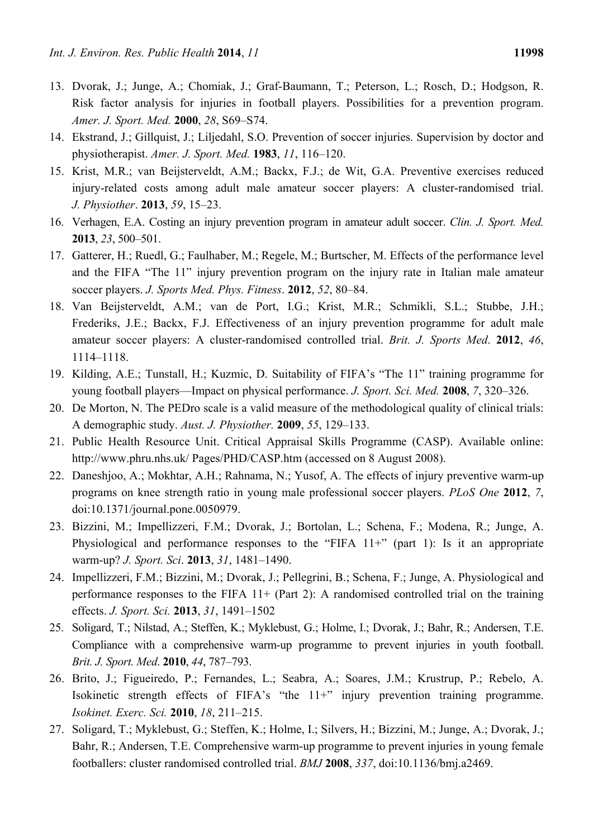- 13. Dvorak, J.; Junge, A.; Chomiak, J.; Graf-Baumann, T.; Peterson, L.; Rosch, D.; Hodgson, R. Risk factor analysis for injuries in football players. Possibilities for a prevention program. *Amer. J. Sport. Med.* **2000**, *28*, S69–S74.
- 14. Ekstrand, J.; Gillquist, J.; Liljedahl, S.O. Prevention of soccer injuries. Supervision by doctor and physiotherapist. *Amer. J. Sport. Med.* **1983**, *11*, 116–120.
- 15. Krist, M.R.; van Beijsterveldt, A.M.; Backx, F.J.; de Wit, G.A. Preventive exercises reduced injury-related costs among adult male amateur soccer players: A cluster-randomised trial. *J. Physiother*. **2013**, *59*, 15–23.
- 16. Verhagen, E.A. Costing an injury prevention program in amateur adult soccer. *Clin. J. Sport. Med.* **2013**, *23*, 500–501.
- 17. Gatterer, H.; Ruedl, G.; Faulhaber, M.; Regele, M.; Burtscher, M. Effects of the performance level and the FIFA "The 11" injury prevention program on the injury rate in Italian male amateur soccer players. *J. Sports Med. Phys. Fitness*. **2012**, *52*, 80–84.
- 18. Van Beijsterveldt, A.M.; van de Port, I.G.; Krist, M.R.; Schmikli, S.L.; Stubbe, J.H.; Frederiks, J.E.; Backx, F.J. Effectiveness of an injury prevention programme for adult male amateur soccer players: A cluster-randomised controlled trial. *Brit. J. Sports Med*. **2012**, *46*, 1114–1118.
- 19. Kilding, A.E.; Tunstall, H.; Kuzmic, D. Suitability of FIFA's "The 11" training programme for young football players—Impact on physical performance. *J. Sport. Sci. Med.* **2008**, *7*, 320–326.
- 20. De Morton, N. The PEDro scale is a valid measure of the methodological quality of clinical trials: A demographic study. *Aust. J. Physiother.* **2009**, *55*, 129–133.
- 21. Public Health Resource Unit. Critical Appraisal Skills Programme (CASP). Available online: http://www.phru.nhs.uk/ Pages/PHD/CASP.htm (accessed on 8 August 2008).
- 22. Daneshjoo, A.; Mokhtar, A.H.; Rahnama, N.; Yusof, A. The effects of injury preventive warm-up programs on knee strength ratio in young male professional soccer players. *PLoS One* **2012**, *7*, doi:10.1371/journal.pone.0050979.
- 23. Bizzini, M.; Impellizzeri, F.M.; Dvorak, J.; Bortolan, L.; Schena, F.; Modena, R.; Junge, A. Physiological and performance responses to the "FIFA  $11+$ " (part 1): Is it an appropriate warm-up? *J. Sport. Sci*. **2013**, *31*, 1481–1490.
- 24. Impellizzeri, F.M.; Bizzini, M.; Dvorak, J.; Pellegrini, B.; Schena, F.; Junge, A. Physiological and performance responses to the FIFA 11+ (Part 2): A randomised controlled trial on the training effects. *J. Sport. Sci.* **2013**, *31*, 1491–1502
- 25. Soligard, T.; Nilstad, A.; Steffen, K.; Myklebust, G.; Holme, I.; Dvorak, J.; Bahr, R.; Andersen, T.E. Compliance with a comprehensive warm-up programme to prevent injuries in youth football. *Brit. J. Sport. Med*. **2010**, *44*, 787–793.
- 26. Brito, J.; Figueiredo, P.; Fernandes, L.; Seabra, A.; Soares, J.M.; Krustrup, P.; Rebelo, A. Isokinetic strength effects of FIFA's "the 11+" injury prevention training programme. *Isokinet. Exerc. Sci.* **2010**, *18*, 211–215.
- 27. Soligard, T.; Myklebust, G.; Steffen, K.; Holme, I.; Silvers, H.; Bizzini, M.; Junge, A.; Dvorak, J.; Bahr, R.; Andersen, T.E. Comprehensive warm-up programme to prevent injuries in young female footballers: cluster randomised controlled trial. *BMJ* **2008**, *337*, doi:10.1136/bmj.a2469.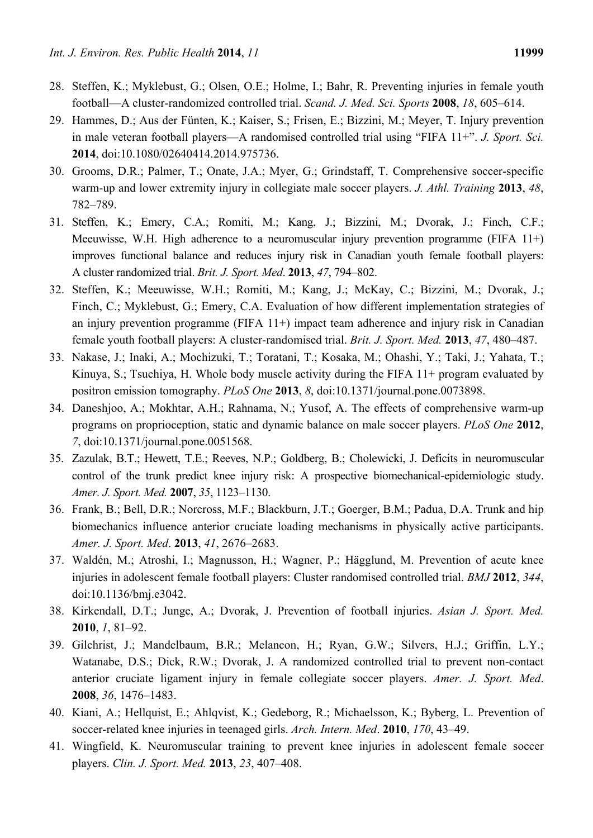- 28. Steffen, K.; Myklebust, G.; Olsen, O.E.; Holme, I.; Bahr, R. Preventing injuries in female youth football—A cluster-randomized controlled trial. *Scand. J. Med. Sci. Sports* **2008**, *18*, 605–614.
- 29. Hammes, D.; Aus der Fünten, K.; Kaiser, S.; Frisen, E.; Bizzini, M.; Meyer, T. Injury prevention in male veteran football players—A randomised controlled trial using "FIFA 11+". *J. Sport. Sci.* **2014**, doi:10.1080/02640414.2014.975736.
- 30. Grooms, D.R.; Palmer, T.; Onate, J.A.; Myer, G.; Grindstaff, T. Comprehensive soccer-specific warm-up and lower extremity injury in collegiate male soccer players. *J. Athl. Training* **2013**, *48*, 782–789.
- 31. Steffen, K.; Emery, C.A.; Romiti, M.; Kang, J.; Bizzini, M.; Dvorak, J.; Finch, C.F.; Meeuwisse, W.H. High adherence to a neuromuscular injury prevention programme (FIFA 11+) improves functional balance and reduces injury risk in Canadian youth female football players: A cluster randomized trial. *Brit. J. Sport. Med*. **2013**, *47*, 794–802.
- 32. Steffen, K.; Meeuwisse, W.H.; Romiti, M.; Kang, J.; McKay, C.; Bizzini, M.; Dvorak, J.; Finch, C.; Myklebust, G.; Emery, C.A. Evaluation of how different implementation strategies of an injury prevention programme (FIFA 11+) impact team adherence and injury risk in Canadian female youth football players: A cluster-randomised trial. *Brit. J. Sport. Med.* **2013**, *47*, 480–487.
- 33. Nakase, J.; Inaki, A.; Mochizuki, T.; Toratani, T.; Kosaka, M.; Ohashi, Y.; Taki, J.; Yahata, T.; Kinuya, S.; Tsuchiya, H. Whole body muscle activity during the FIFA 11+ program evaluated by positron emission tomography. *PLoS One* **2013**, *8*, doi:10.1371/journal.pone.0073898.
- 34. Daneshjoo, A.; Mokhtar, A.H.; Rahnama, N.; Yusof, A. The effects of comprehensive warm-up programs on proprioception, static and dynamic balance on male soccer players. *PLoS One* **2012**, *7*, doi:10.1371/journal.pone.0051568.
- 35. Zazulak, B.T.; Hewett, T.E.; Reeves, N.P.; Goldberg, B.; Cholewicki, J. Deficits in neuromuscular control of the trunk predict knee injury risk: A prospective biomechanical-epidemiologic study. *Amer. J. Sport. Med.* **2007**, *35*, 1123–1130.
- 36. Frank, B.; Bell, D.R.; Norcross, M.F.; Blackburn, J.T.; Goerger, B.M.; Padua, D.A. Trunk and hip biomechanics influence anterior cruciate loading mechanisms in physically active participants. *Amer. J. Sport. Med*. **2013**, *41*, 2676–2683.
- 37. Waldén, M.; Atroshi, I.; Magnusson, H.; Wagner, P.; Hägglund, M. Prevention of acute knee injuries in adolescent female football players: Cluster randomised controlled trial. *BMJ* **2012**, *344*, doi:10.1136/bmj.e3042.
- 38. Kirkendall, D.T.; Junge, A.; Dvorak, J. Prevention of football injuries. *Asian J. Sport. Med.* **2010**, *1*, 81–92.
- 39. Gilchrist, J.; Mandelbaum, B.R.; Melancon, H.; Ryan, G.W.; Silvers, H.J.; Griffin, L.Y.; Watanabe, D.S.; Dick, R.W.; Dvorak, J. A randomized controlled trial to prevent non-contact anterior cruciate ligament injury in female collegiate soccer players. *Amer. J. Sport. Med*. **2008**, *36*, 1476–1483.
- 40. Kiani, A.; Hellquist, E.; Ahlqvist, K.; Gedeborg, R.; Michaelsson, K.; Byberg, L. Prevention of soccer-related knee injuries in teenaged girls. *Arch. Intern. Med*. **2010**, *170*, 43–49.
- 41. Wingfield, K. Neuromuscular training to prevent knee injuries in adolescent female soccer players. *Clin. J. Sport. Med.* **2013**, *23*, 407–408.